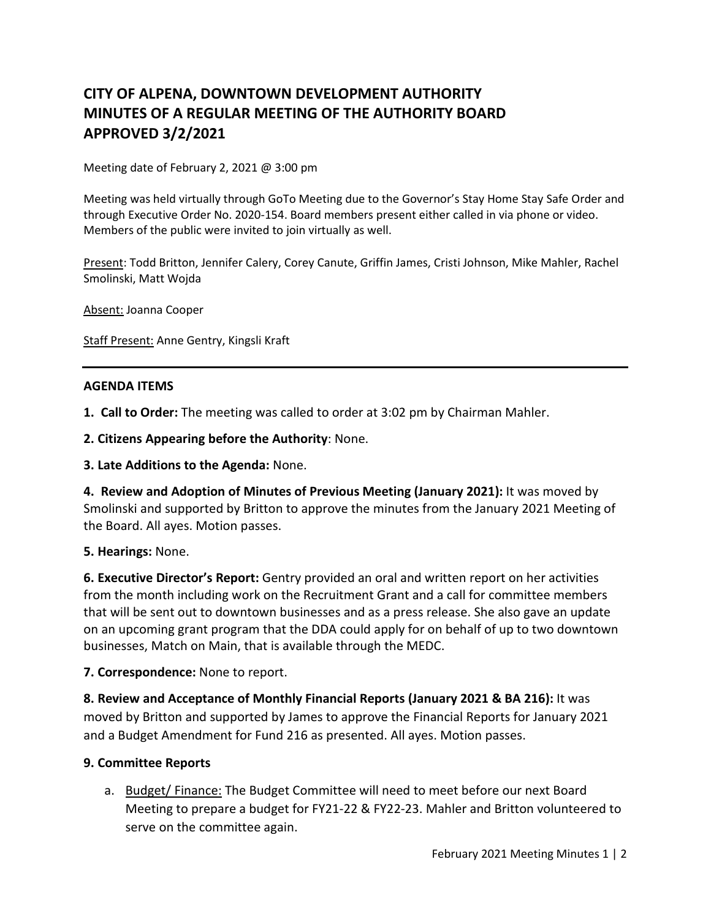# **CITY OF ALPENA, DOWNTOWN DEVELOPMENT AUTHORITY MINUTES OF A REGULAR MEETING OF THE AUTHORITY BOARD APPROVED 3/2/2021**

Meeting date of February 2, 2021 @ 3:00 pm

Meeting was held virtually through GoTo Meeting due to the Governor's Stay Home Stay Safe Order and through Executive Order No. 2020-154. Board members present either called in via phone or video. Members of the public were invited to join virtually as well.

Present: Todd Britton, Jennifer Calery, Corey Canute, Griffin James, Cristi Johnson, Mike Mahler, Rachel Smolinski, Matt Wojda

Absent: Joanna Cooper

Staff Present: Anne Gentry, Kingsli Kraft

### **AGENDA ITEMS**

**1. Call to Order:** The meeting was called to order at 3:02 pm by Chairman Mahler.

**2. Citizens Appearing before the Authority**: None.

**3. Late Additions to the Agenda:** None.

**4. Review and Adoption of Minutes of Previous Meeting (January 2021):** It was moved by Smolinski and supported by Britton to approve the minutes from the January 2021 Meeting of the Board. All ayes. Motion passes.

### **5. Hearings:** None.

**6. Executive Director's Report:** Gentry provided an oral and written report on her activities from the month including work on the Recruitment Grant and a call for committee members that will be sent out to downtown businesses and as a press release. She also gave an update on an upcoming grant program that the DDA could apply for on behalf of up to two downtown businesses, Match on Main, that is available through the MEDC.

**7. Correspondence:** None to report.

**8. Review and Acceptance of Monthly Financial Reports (January 2021 & BA 216):** It was moved by Britton and supported by James to approve the Financial Reports for January 2021 and a Budget Amendment for Fund 216 as presented. All ayes. Motion passes.

### **9. Committee Reports**

a. Budget/ Finance: The Budget Committee will need to meet before our next Board Meeting to prepare a budget for FY21-22 & FY22-23. Mahler and Britton volunteered to serve on the committee again.